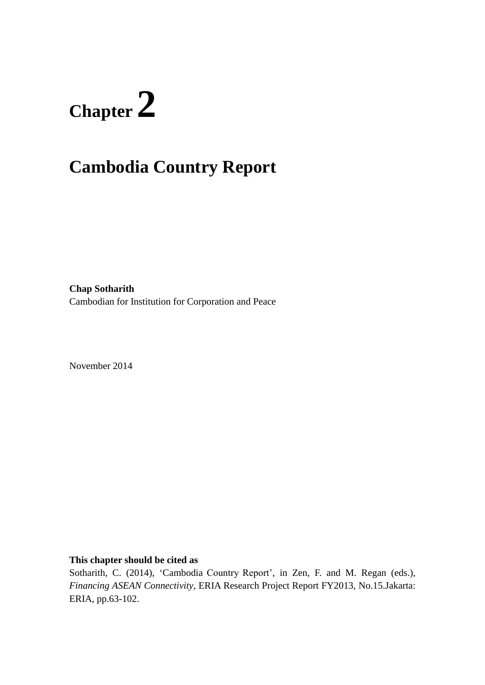# **Chapter 2**

# **Cambodia Country Report**

**Chap Sotharith** Cambodian for Institution for Corporation and Peace

November 2014

**This chapter should be cited as**

Sotharith, C. (2014), 'Cambodia Country Report', in Zen, F. and M. Regan (eds.), *Financing ASEAN Connectivity*, ERIA Research Project Report FY2013, No.15.Jakarta: ERIA, pp.63-102.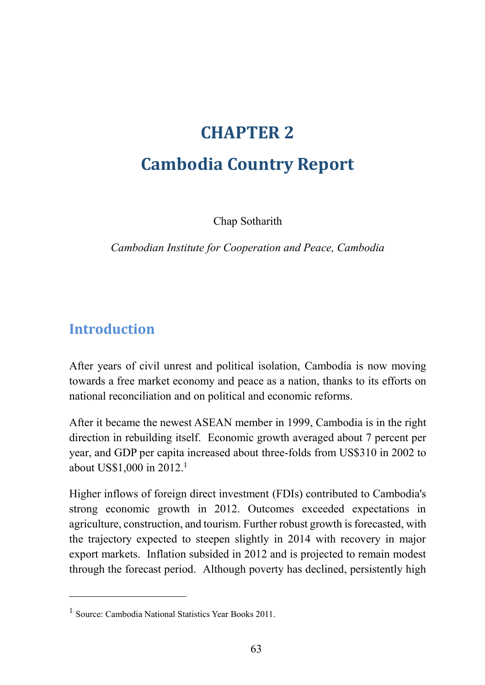# **CHAPTER 2**

# **Cambodia Country Report**

Chap Sotharith

*Cambodian Institute for Cooperation and Peace, Cambodia*

# **Introduction**

 $\overline{a}$ 

After years of civil unrest and political isolation, Cambodia is now moving towards a free market economy and peace as a nation, thanks to its efforts on national reconciliation and on political and economic reforms.

After it became the newest ASEAN member in 1999, Cambodia is in the right direction in rebuilding itself. Economic growth averaged about 7 percent per year, and GDP per capita increased about three-folds from US\$310 in 2002 to about US\$1,000 in 2012.<sup>1</sup>

Higher inflows of foreign direct investment (FDIs) contributed to Cambodia's strong economic growth in 2012. Outcomes exceeded expectations in agriculture, construction, and tourism. Further robust growth is forecasted, with the trajectory expected to steepen slightly in 2014 with recovery in major export markets. Inflation subsided in 2012 and is projected to remain modest through the forecast period. Although poverty has declined, persistently high

<sup>&</sup>lt;sup>1</sup> Source: Cambodia National Statistics Year Books 2011.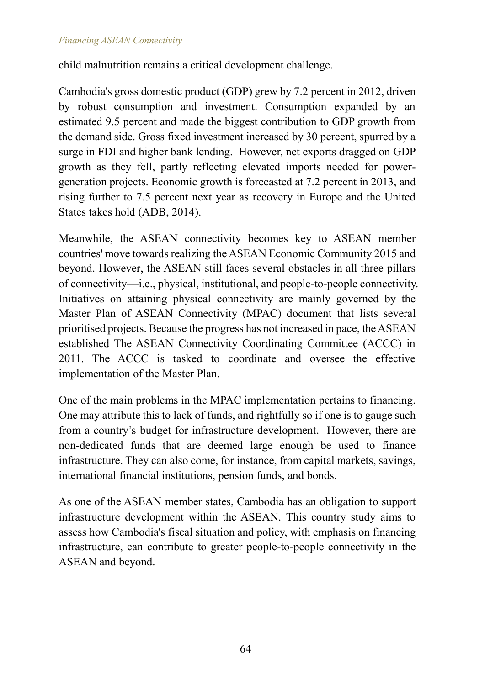child malnutrition remains a critical development challenge.

Cambodia's gross domestic product (GDP) grew by 7.2 percent in 2012, driven by robust consumption and investment. Consumption expanded by an estimated 9.5 percent and made the biggest contribution to GDP growth from the demand side. Gross fixed investment increased by 30 percent, spurred by a surge in FDI and higher bank lending. However, net exports dragged on GDP growth as they fell, partly reflecting elevated imports needed for powergeneration projects. Economic growth is forecasted at 7.2 percent in 2013, and rising further to 7.5 percent next year as recovery in Europe and the United States takes hold (ADB, 2014).

Meanwhile, the ASEAN connectivity becomes key to ASEAN member countries' move towards realizing the ASEAN Economic Community 2015 and beyond. However, the ASEAN still faces several obstacles in all three pillars of connectivity—i.e., physical, institutional, and people-to-people connectivity. Initiatives on attaining physical connectivity are mainly governed by the Master Plan of ASEAN Connectivity (MPAC) document that lists several prioritised projects. Because the progress has not increased in pace, the ASEAN established The ASEAN Connectivity Coordinating Committee (ACCC) in 2011. The ACCC is tasked to coordinate and oversee the effective implementation of the Master Plan.

One of the main problems in the MPAC implementation pertains to financing. One may attribute this to lack of funds, and rightfully so if one is to gauge such from a country's budget for infrastructure development. However, there are non-dedicated funds that are deemed large enough be used to finance infrastructure. They can also come, for instance, from capital markets, savings, international financial institutions, pension funds, and bonds.

As one of the ASEAN member states, Cambodia has an obligation to support infrastructure development within the ASEAN. This country study aims to assess how Cambodia's fiscal situation and policy, with emphasis on financing infrastructure, can contribute to greater people-to-people connectivity in the ASEAN and beyond.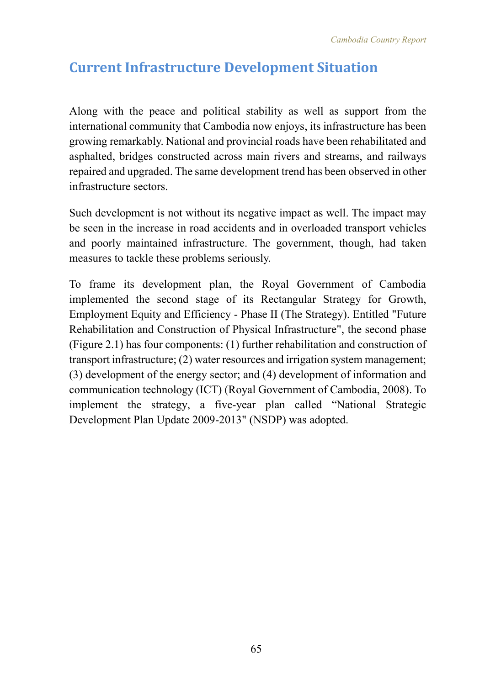# **Current Infrastructure Development Situation**

Along with the peace and political stability as well as support from the international community that Cambodia now enjoys, its infrastructure has been growing remarkably. National and provincial roads have been rehabilitated and asphalted, bridges constructed across main rivers and streams, and railways repaired and upgraded. The same development trend has been observed in other infrastructure sectors.

Such development is not without its negative impact as well. The impact may be seen in the increase in road accidents and in overloaded transport vehicles and poorly maintained infrastructure. The government, though, had taken measures to tackle these problems seriously.

To frame its development plan, the Royal Government of Cambodia implemented the second stage of its Rectangular Strategy for Growth, Employment Equity and Efficiency - Phase II (The Strategy). Entitled "Future Rehabilitation and Construction of Physical Infrastructure", the second phase (Figure 2.1) has four components: (1) further rehabilitation and construction of transport infrastructure; (2) water resources and irrigation system management; (3) development of the energy sector; and (4) development of information and communication technology (ICT) (Royal Government of Cambodia, 2008). To implement the strategy, a five-year plan called "National Strategic Development Plan Update 2009-2013" (NSDP) was adopted.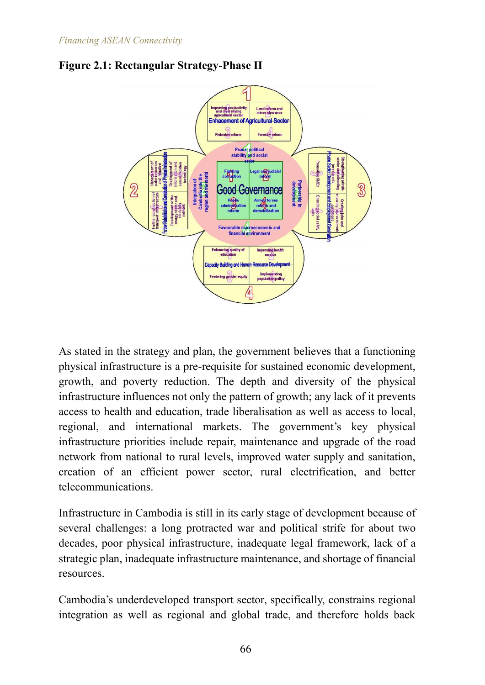

**Figure 2.1: Rectangular Strategy-Phase II**

As stated in the strategy and plan, the government believes that a functioning physical infrastructure is a pre-requisite for sustained economic development, growth, and poverty reduction. The depth and diversity of the physical infrastructure influences not only the pattern of growth; any lack of it prevents access to health and education, trade liberalisation as well as access to local, regional, and international markets. The government's key physical infrastructure priorities include repair, maintenance and upgrade of the road network from national to rural levels, improved water supply and sanitation, creation of an efficient power sector, rural electrification, and better telecommunications.

Infrastructure in Cambodia is still in its early stage of development because of several challenges: a long protracted war and political strife for about two decades, poor physical infrastructure, inadequate legal framework, lack of a strategic plan, inadequate infrastructure maintenance, and shortage of financial resources.

Cambodia's underdeveloped transport sector, specifically, constrains regional integration as well as regional and global trade, and therefore holds back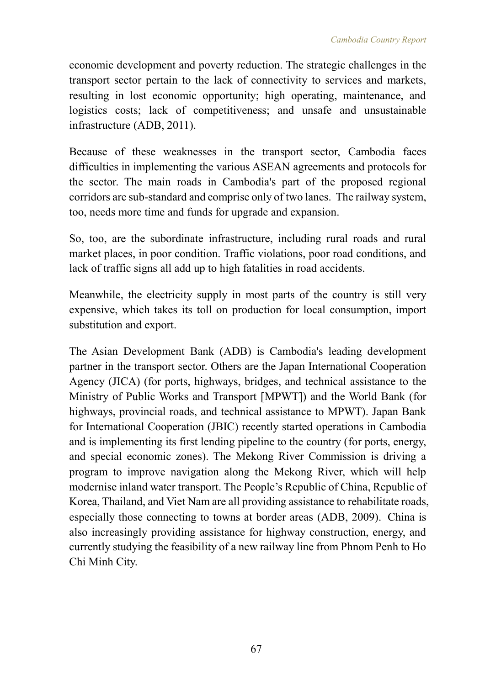economic development and poverty reduction. The strategic challenges in the transport sector pertain to the lack of connectivity to services and markets, resulting in lost economic opportunity; high operating, maintenance, and logistics costs; lack of competitiveness; and unsafe and unsustainable infrastructure (ADB, 2011).

Because of these weaknesses in the transport sector, Cambodia faces difficulties in implementing the various ASEAN agreements and protocols for the sector. The main roads in Cambodia's part of the proposed regional corridors are sub-standard and comprise only of two lanes. The railway system, too, needs more time and funds for upgrade and expansion.

So, too, are the subordinate infrastructure, including rural roads and rural market places, in poor condition. Traffic violations, poor road conditions, and lack of traffic signs all add up to high fatalities in road accidents.

Meanwhile, the electricity supply in most parts of the country is still very expensive, which takes its toll on production for local consumption, import substitution and export.

The Asian Development Bank (ADB) is Cambodia's leading development partner in the transport sector. Others are the Japan International Cooperation Agency (JICA) (for ports, highways, bridges, and technical assistance to the Ministry of Public Works and Transport [MPWT]) and the World Bank (for highways, provincial roads, and technical assistance to MPWT). Japan Bank for International Cooperation (JBIC) recently started operations in Cambodia and is implementing its first lending pipeline to the country (for ports, energy, and special economic zones). The Mekong River Commission is driving a program to improve navigation along the Mekong River, which will help modernise inland water transport. The People's Republic of China, Republic of Korea, Thailand, and Viet Nam are all providing assistance to rehabilitate roads, especially those connecting to towns at border areas (ADB, 2009). China is also increasingly providing assistance for highway construction, energy, and currently studying the feasibility of a new railway line from Phnom Penh to Ho Chi Minh City.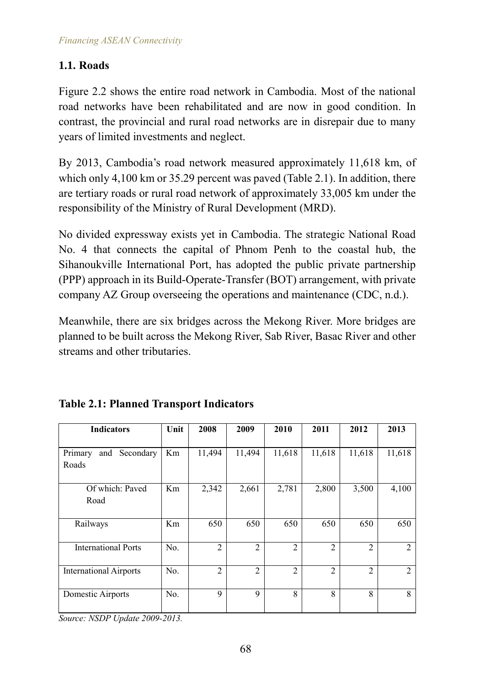# **1.1. Roads**

Figure 2.2 shows the entire road network in Cambodia. Most of the national road networks have been rehabilitated and are now in good condition. In contrast, the provincial and rural road networks are in disrepair due to many years of limited investments and neglect.

By 2013, Cambodia's road network measured approximately 11,618 km, of which only 4,100 km or 35.29 percent was paved (Table 2.1). In addition, there are tertiary roads or rural road network of approximately 33,005 km under the responsibility of the Ministry of Rural Development (MRD).

No divided expressway exists yet in Cambodia. The strategic National Road No. 4 that connects the capital of Phnom Penh to the coastal hub, the Sihanoukville International Port, has adopted the public private partnership (PPP) approach in its Build-Operate-Transfer (BOT) arrangement, with private company AZ Group overseeing the operations and maintenance (CDC, n.d.).

Meanwhile, there are six bridges across the Mekong River. More bridges are planned to be built across the Mekong River, Sab River, Basac River and other streams and other tributaries.

| <b>Indicators</b>             | Unit | 2008           | 2009           | 2010           | 2011           | 2012           | 2013          |
|-------------------------------|------|----------------|----------------|----------------|----------------|----------------|---------------|
|                               |      |                |                |                |                |                |               |
| and Secondary<br>Primary      | Km   | 11,494         | 11,494         | 11,618         | 11,618         | 11,618         | 11,618        |
| Roads                         |      |                |                |                |                |                |               |
| Of which: Paved               | Km   | 2,342          | 2,661          | 2,781          | 2,800          | 3,500          | 4,100         |
| Road                          |      |                |                |                |                |                |               |
| Railways                      | Km   | 650            | 650            | 650            | 650            | 650            | 650           |
| <b>International Ports</b>    | No.  | $\overline{2}$ | $\overline{2}$ | $\mathfrak{D}$ | $\mathfrak{D}$ | $\mathfrak{D}$ | $\mathcal{L}$ |
| <b>International Airports</b> | No.  | 2              | $\overline{2}$ | $\overline{2}$ | $\overline{2}$ | $\overline{2}$ | 2             |
| Domestic Airports             | No.  | 9              | 9              | 8              | 8              | 8              | 8             |

### **Table 2.1: Planned Transport Indicators**

*Source: NSDP Update 2009-2013.*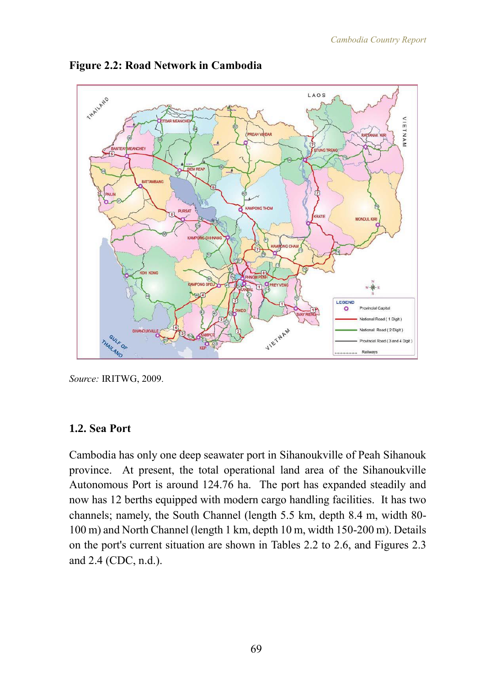

**Figure 2.2: Road Network in Cambodia**

*Source:* IRITWG, 2009.

#### **1.2. Sea Port**

Cambodia has only one deep seawater port in Sihanoukville of Peah Sihanouk province. At present, the total operational land area of the Sihanoukville Autonomous Port is around 124.76 ha. The port has expanded steadily and now has 12 berths equipped with modern cargo handling facilities. It has two channels; namely, the South Channel (length 5.5 km, depth 8.4 m, width 80- 100 m) and North Channel (length 1 km, depth 10 m, width 150-200 m). Details on the port's current situation are shown in Tables 2.2 to 2.6, and Figures 2.3 and 2.4 (CDC, n.d.).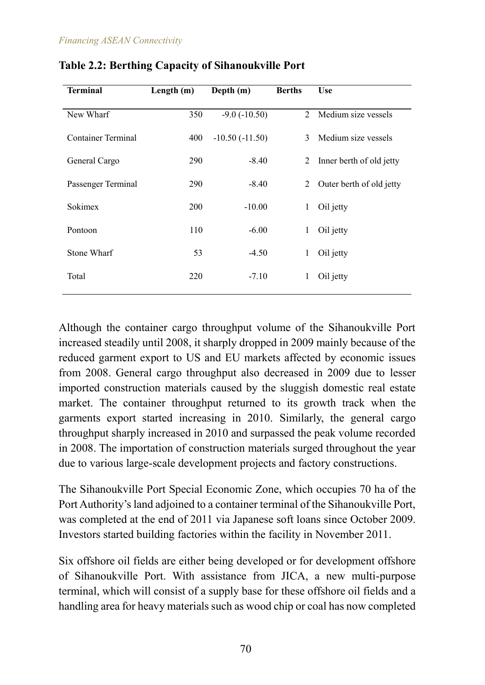| <b>Terminal</b>    | Length (m) | Depth (m)         | <b>Berths</b> | <b>Use</b>               |
|--------------------|------------|-------------------|---------------|--------------------------|
| New Wharf          | 350        | $-9.0$ $(-10.50)$ | 2             | Medium size vessels      |
| Container Terminal | 400        | $-10.50(-11.50)$  | 3             | Medium size vessels      |
| General Cargo      | 290        | $-8.40$           | 2             | Inner berth of old jetty |
| Passenger Terminal | 290        | $-8.40$           | 2             | Outer berth of old jetty |
| Sokimex            | 200        | $-10.00$          | 1             | Oil jetty                |
| Pontoon            | 110        | $-6.00$           | $\mathbf{1}$  | Oil jetty                |
| <b>Stone Wharf</b> | 53         | $-4.50$           | 1             | Oil jetty                |
| Total              | 220        | $-7.10$           | 1             | Oil jetty                |
|                    |            |                   |               |                          |

**Table 2.2: Berthing Capacity of Sihanoukville Port**

Although the container cargo throughput volume of the Sihanoukville Port increased steadily until 2008, it sharply dropped in 2009 mainly because of the reduced garment export to US and EU markets affected by economic issues from 2008. General cargo throughput also decreased in 2009 due to lesser imported construction materials caused by the sluggish domestic real estate market. The container throughput returned to its growth track when the garments export started increasing in 2010. Similarly, the general cargo throughput sharply increased in 2010 and surpassed the peak volume recorded in 2008. The importation of construction materials surged throughout the year due to various large-scale development projects and factory constructions.

The Sihanoukville Port Special Economic Zone, which occupies 70 ha of the Port Authority's land adjoined to a container terminal of the Sihanoukville Port, was completed at the end of 2011 via Japanese soft loans since October 2009. Investors started building factories within the facility in November 2011.

Six offshore oil fields are either being developed or for development offshore of Sihanoukville Port. With assistance from JICA, a new multi-purpose terminal, which will consist of a supply base for these offshore oil fields and a handling area for heavy materials such as wood chip or coal has now completed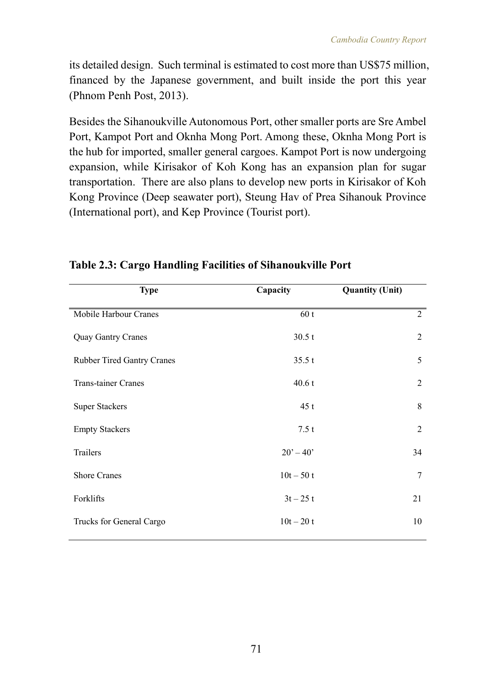its detailed design. Such terminal is estimated to cost more than US\$75 million, financed by the Japanese government, and built inside the port this year (Phnom Penh Post, 2013).

Besides the Sihanoukville Autonomous Port, other smaller ports are Sre Ambel Port, Kampot Port and Oknha Mong Port. Among these, Oknha Mong Port is the hub for imported, smaller general cargoes. Kampot Port is now undergoing expansion, while Kirisakor of Koh Kong has an expansion plan for sugar transportation. There are also plans to develop new ports in Kirisakor of Koh Kong Province (Deep seawater port), Steung Hav of Prea Sihanouk Province (International port), and Kep Province (Tourist port).

| <b>Type</b>                       | Capacity    | <b>Quantity (Unit)</b> |
|-----------------------------------|-------------|------------------------|
| Mobile Harbour Cranes             | 60t         | 2                      |
| <b>Quay Gantry Cranes</b>         | 30.5t       | $\overline{2}$         |
| <b>Rubber Tired Gantry Cranes</b> | 35.5 t      | 5                      |
| Trans-tainer Cranes               | 40.6t       | $\overline{2}$         |
| <b>Super Stackers</b>             | 45t         | 8                      |
| <b>Empty Stackers</b>             | 7.5t        | $\overline{2}$         |
| Trailers                          | $20' - 40'$ | 34                     |
| <b>Shore Cranes</b>               | $10t - 50t$ | $\overline{7}$         |
| Forklifts                         | $3t - 25t$  | 21                     |
| Trucks for General Cargo          | $10t - 20t$ | 10                     |

### **Table 2.3: Cargo Handling Facilities of Sihanoukville Port**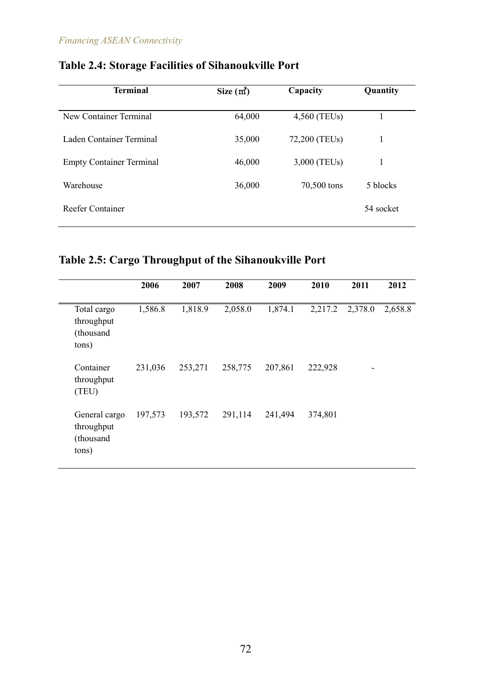| <b>Terminal</b>                 | Size $(m2)$ | Capacity      | Quantity  |
|---------------------------------|-------------|---------------|-----------|
| New Container Terminal          | 64,000      | 4,560 (TEUs)  |           |
| Laden Container Terminal        | 35,000      | 72,200 (TEUs) | 1         |
| <b>Empty Container Terminal</b> | 46,000      | 3,000 (TEUs)  | 1         |
| Warehouse                       | 36,000      | 70,500 tons   | 5 blocks  |
| <b>Reefer Container</b>         |             |               | 54 socket |

# **Table 2.4: Storage Facilities of Sihanoukville Port**

# **Table 2.5: Cargo Throughput of the Sihanoukville Port**

|                                                   | 2006    | 2007    | 2008    | 2009    | 2010    | 2011    | 2012    |
|---------------------------------------------------|---------|---------|---------|---------|---------|---------|---------|
| Total cargo<br>throughput<br>(thousand<br>tons)   | 1,586.8 | 1,818.9 | 2,058.0 | 1,874.1 | 2,217.2 | 2,378.0 | 2,658.8 |
| Container<br>throughput<br>(TEU)                  | 231,036 | 253,271 | 258,775 | 207,861 | 222,928 |         |         |
| General cargo<br>throughput<br>(thousand<br>tons) | 197,573 | 193,572 | 291,114 | 241,494 | 374,801 |         |         |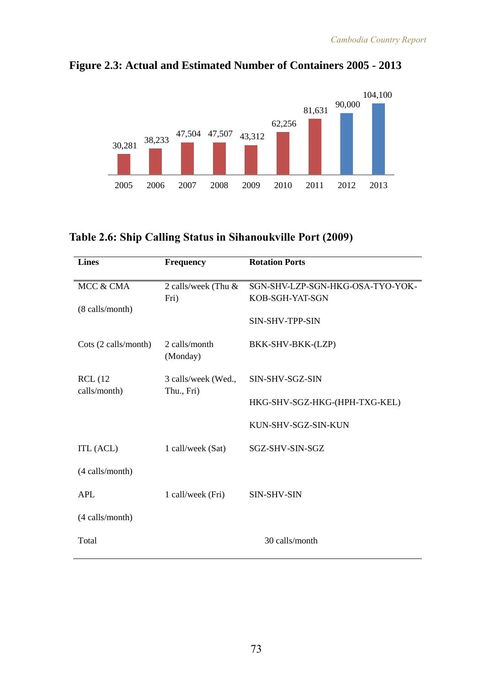

**Figure 2.3: Actual and Estimated Number of Containers 2005 - 2013**

#### **Table 2.6: Ship Calling Status in Sihanoukville Port (2009)**

| <b>Lines</b>         | <b>Frequency</b>          | <b>Rotation Ports</b>            |  |  |
|----------------------|---------------------------|----------------------------------|--|--|
| MCC & CMA            | 2 calls/week (Thu $\&$    | SGN-SHV-LZP-SGN-HKG-OSA-TYO-YOK- |  |  |
|                      | Fri)                      | KOB-SGH-YAT-SGN                  |  |  |
| (8 calls/month)      |                           | SIN-SHV-TPP-SIN                  |  |  |
| Cots (2 calls/month) | 2 calls/month<br>(Monday) | BKK-SHV-BKK-(LZP)                |  |  |
| <b>RCL</b> (12       | 3 calls/week (Wed.,       | SIN-SHV-SGZ-SIN                  |  |  |
| calls/month)         | Thu., Fri)                | HKG-SHV-SGZ-HKG-(HPH-TXG-KEL)    |  |  |
|                      |                           | KUN-SHV-SGZ-SIN-KUN              |  |  |
| ITL (ACL)            | 1 call/week (Sat)         | SGZ-SHV-SIN-SGZ                  |  |  |
| (4 calls/month)      |                           |                                  |  |  |
| <b>APL</b>           | 1 call/week (Fri)         | <b>SIN-SHV-SIN</b>               |  |  |
| (4 calls/month)      |                           |                                  |  |  |
| Total                |                           | 30 calls/month                   |  |  |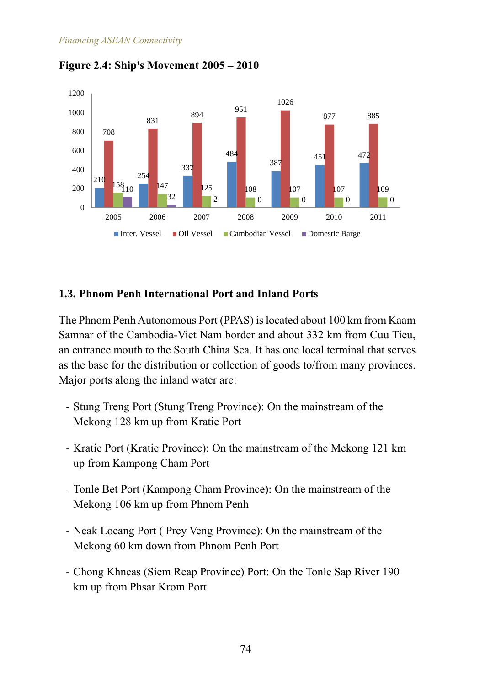

**Figure 2.4: Ship's Movement 2005 – 2010**

### **1.3. Phnom Penh International Port and Inland Ports**

The Phnom Penh Autonomous Port (PPAS) is located about 100 km from Kaam Samnar of the Cambodia-Viet Nam border and about 332 km from Cuu Tieu, an entrance mouth to the South China Sea. It has one local terminal that serves as the base for the distribution or collection of goods to/from many provinces. Major ports along the inland water are:

- Stung Treng Port (Stung Treng Province): On the mainstream of the Mekong 128 km up from Kratie Port
- Kratie Port (Kratie Province): On the mainstream of the Mekong 121 km up from Kampong Cham Port
- Tonle Bet Port (Kampong Cham Province): On the mainstream of the Mekong 106 km up from Phnom Penh
- Neak Loeang Port ( Prey Veng Province): On the mainstream of the Mekong 60 km down from Phnom Penh Port
- Chong Khneas (Siem Reap Province) Port: On the Tonle Sap River 190 km up from Phsar Krom Port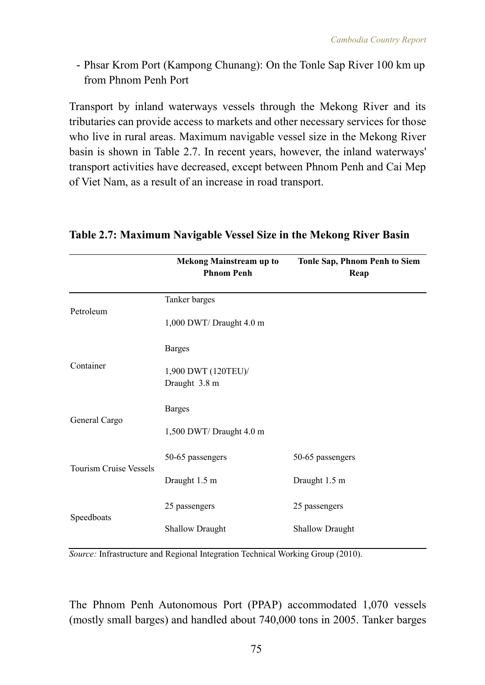- Phsar Krom Port (Kampong Chunang): On the Tonle Sap River 100 km up from Phnom Penh Port

Transport by inland waterways vessels through the Mekong River and its tributaries can provide access to markets and other necessary services for those who live in rural areas. Maximum navigable vessel size in the Mekong River basin is shown in Table 2.7. In recent years, however, the inland waterways' transport activities have decreased, except between Phnom Penh and Cai Mep of Viet Nam, as a result of an increase in road transport.

|                               | <b>Mekong Mainstream up to</b><br><b>Phnom Penh</b> | <b>Tonle Sap, Phnom Penh to Siem</b><br>Reap |  |  |  |
|-------------------------------|-----------------------------------------------------|----------------------------------------------|--|--|--|
|                               | Tanker barges                                       |                                              |  |  |  |
| Petroleum                     | 1,000 DWT/Draught 4.0 m                             |                                              |  |  |  |
|                               | <b>Barges</b>                                       |                                              |  |  |  |
| Container                     | 1,900 DWT (120TEU)/<br>Draught 3.8 m                |                                              |  |  |  |
|                               | <b>Barges</b>                                       |                                              |  |  |  |
| General Cargo                 | 1,500 DWT/Draught 4.0 m                             |                                              |  |  |  |
|                               | 50-65 passengers                                    | 50-65 passengers                             |  |  |  |
| <b>Tourism Cruise Vessels</b> | Draught 1.5 m                                       | Draught 1.5 m                                |  |  |  |
|                               | 25 passengers                                       | 25 passengers                                |  |  |  |
| Speedboats                    | <b>Shallow Draught</b>                              | <b>Shallow Draught</b>                       |  |  |  |

#### **Table 2.7: Maximum Navigable Vessel Size in the Mekong River Basin**

*Source:* Infrastructure and Regional Integration Technical Working Group (2010).

The Phnom Penh Autonomous Port (PPAP) accommodated 1,070 vessels (mostly small barges) and handled about 740,000 tons in 2005. Tanker barges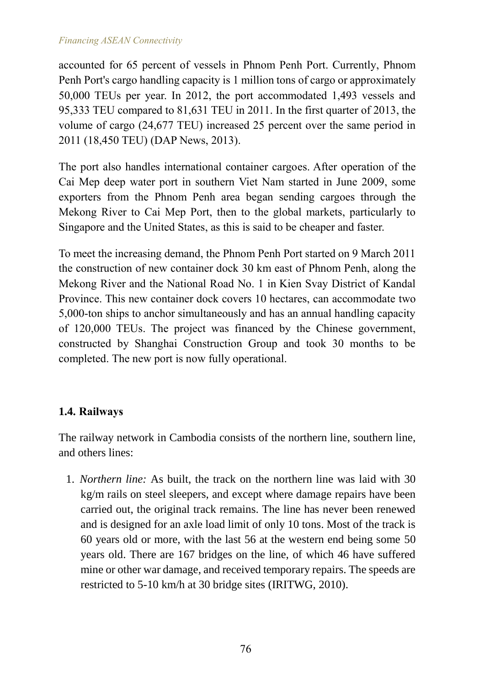accounted for 65 percent of vessels in Phnom Penh Port. Currently, Phnom Penh Port's cargo handling capacity is 1 million tons of cargo or approximately 50,000 TEUs per year. In 2012, the port accommodated 1,493 vessels and 95,333 TEU compared to 81,631 TEU in 2011. In the first quarter of 2013, the volume of cargo (24,677 TEU) increased 25 percent over the same period in 2011 (18,450 TEU) (DAP News, 2013).

The port also handles international container cargoes. After operation of the Cai Mep deep water port in southern Viet Nam started in June 2009, some exporters from the Phnom Penh area began sending cargoes through the Mekong River to Cai Mep Port, then to the global markets, particularly to Singapore and the United States, as this is said to be cheaper and faster.

To meet the increasing demand, the Phnom Penh Port started on 9 March 2011 the construction of new container dock 30 km east of Phnom Penh, along the Mekong River and the National Road No. 1 in Kien Svay District of Kandal Province. This new container dock covers 10 hectares, can accommodate two 5,000-ton ships to anchor simultaneously and has an annual handling capacity of 120,000 TEUs. The project was financed by the Chinese government, constructed by Shanghai Construction Group and took 30 months to be completed. The new port is now fully operational.

### **1.4. Railways**

The railway network in Cambodia consists of the northern line, southern line, and others lines:

1. *Northern line:* As built, the track on the northern line was laid with 30 kg/m rails on steel sleepers, and except where damage repairs have been carried out, the original track remains. The line has never been renewed and is designed for an axle load limit of only 10 tons. Most of the track is 60 years old or more, with the last 56 at the western end being some 50 years old. There are 167 bridges on the line, of which 46 have suffered mine or other war damage, and received temporary repairs. The speeds are restricted to 5-10 km/h at 30 bridge sites (IRITWG, 2010).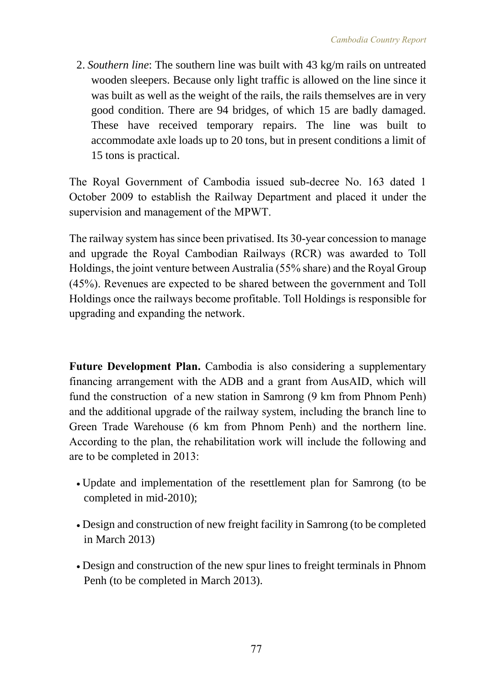2. *Southern line*: The southern line was built with 43 kg/m rails on untreated wooden sleepers. Because only light traffic is allowed on the line since it was built as well as the weight of the rails, the rails themselves are in very good condition. There are 94 bridges, of which 15 are badly damaged. These have received temporary repairs. The line was built to accommodate axle loads up to 20 tons, but in present conditions a limit of 15 tons is practical.

The Royal Government of Cambodia issued sub-decree No. 163 dated 1 October 2009 to establish the Railway Department and placed it under the supervision and management of the MPWT.

The railway system has since been privatised. Its 30-year concession to manage and upgrade the Royal Cambodian Railways (RCR) was awarded to Toll Holdings, the joint venture between Australia (55% share) and the Royal Group (45%). Revenues are expected to be shared between the government and Toll Holdings once the railways become profitable. Toll Holdings is responsible for upgrading and expanding the network.

**Future Development Plan.** Cambodia is also considering a supplementary financing arrangement with the ADB and a grant from AusAID, which will fund the construction of a new station in Samrong (9 km from Phnom Penh) and the additional upgrade of the railway system, including the branch line to Green Trade Warehouse (6 km from Phnom Penh) and the northern line. According to the plan, the rehabilitation work will include the following and are to be completed in 2013:

- Update and implementation of the resettlement plan for Samrong (to be completed in mid-2010);
- Design and construction of new freight facility in Samrong (to be completed in March 2013)
- Design and construction of the new spur lines to freight terminals in Phnom Penh (to be completed in March 2013).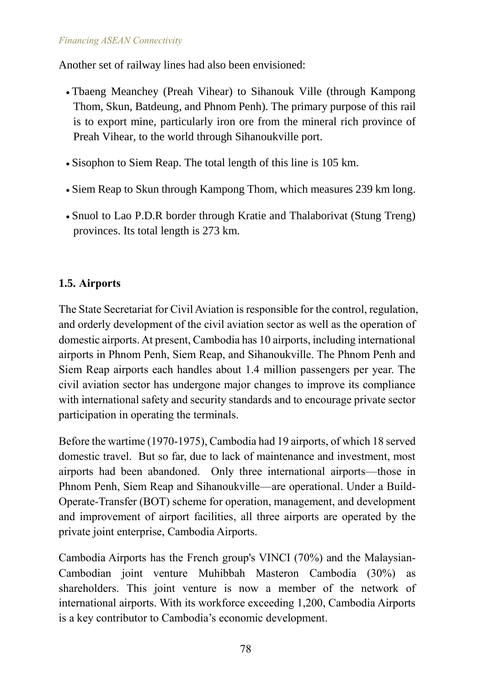Another set of railway lines had also been envisioned:

- Tbaeng Meanchey (Preah Vihear) to Sihanouk Ville (through Kampong Thom, Skun, Batdeung, and Phnom Penh). The primary purpose of this rail is to export mine, particularly iron ore from the mineral rich province of Preah Vihear, to the world through Sihanoukville port.
- Sisophon to Siem Reap. The total length of this line is 105 km.
- Siem Reap to Skun through Kampong Thom, which measures 239 km long.
- Snuol to Lao P.D.R border through Kratie and Thalaborivat (Stung Treng) provinces. Its total length is 273 km.

### **1.5. Airports**

The State Secretariat for Civil Aviation is responsible for the control, regulation, and orderly development of the civil aviation sector as well as the operation of domestic airports. At present, Cambodia has 10 airports, including international airports in Phnom Penh, Siem Reap, and Sihanoukville. The Phnom Penh and Siem Reap airports each handles about 1.4 million passengers per year. The civil aviation sector has undergone major changes to improve its compliance with international safety and security standards and to encourage private sector participation in operating the terminals.

Before the wartime (1970-1975), Cambodia had 19 airports, of which 18 served domestic travel. But so far, due to lack of maintenance and investment, most airports had been abandoned. Only three international airports—those in Phnom Penh, Siem Reap and Sihanoukville—are operational. Under a Build-Operate-Transfer (BOT) scheme for operation, management, and development and improvement of airport facilities, all three airports are operated by the private joint enterprise, Cambodia Airports.

Cambodia Airports has the French group's VINCI (70%) and the Malaysian-Cambodian joint venture Muhibbah Masteron Cambodia (30%) as shareholders. This joint venture is now a member of the network of international airports. With its workforce exceeding 1,200, Cambodia Airports is a key contributor to Cambodia's economic development.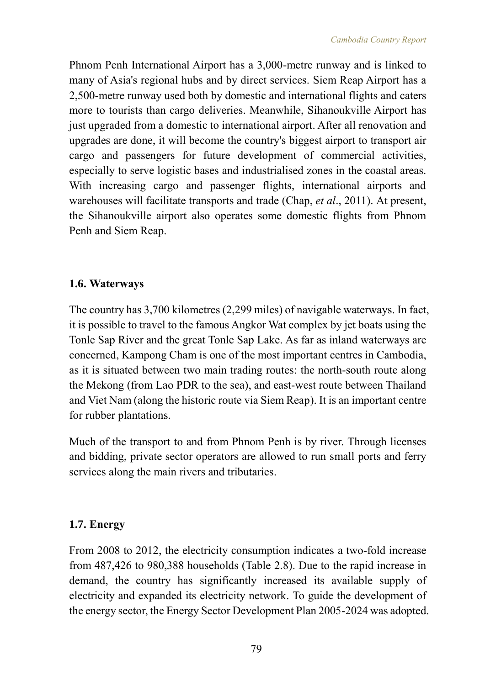Phnom Penh International Airport has a 3,000-metre runway and is linked to many of Asia's regional hubs and by direct services. Siem Reap Airport has a 2,500-metre runway used both by domestic and international flights and caters more to tourists than cargo deliveries. Meanwhile, Sihanoukville Airport has just upgraded from a domestic to international airport. After all renovation and upgrades are done, it will become the country's biggest airport to transport air cargo and passengers for future development of commercial activities, especially to serve logistic bases and industrialised zones in the coastal areas. With increasing cargo and passenger flights, international airports and warehouses will facilitate transports and trade (Chap, *et al*., 2011). At present, the Sihanoukville airport also operates some domestic flights from Phnom Penh and Siem Reap.

## **1.6. Waterways**

The country has 3,700 kilometres (2,299 miles) of navigable waterways. In fact, it is possible to travel to the famous Angkor Wat complex by jet boats using the Tonle Sap River and the great Tonle Sap Lake. As far as inland waterways are concerned, Kampong Cham is one of the most important centres in Cambodia, as it is situated between two main trading routes: the north-south route along the Mekong (from Lao PDR to the sea), and east-west route between Thailand and Viet Nam (along the historic route via Siem Reap). It is an important centre for rubber plantations.

Much of the transport to and from Phnom Penh is by river. Through licenses and bidding, private sector operators are allowed to run small ports and ferry services along the main rivers and tributaries.

### **1.7. Energy**

From 2008 to 2012, the electricity consumption indicates a two-fold increase from 487,426 to 980,388 households (Table 2.8). Due to the rapid increase in demand, the country has significantly increased its available supply of electricity and expanded its electricity network. To guide the development of the energy sector, the Energy Sector Development Plan 2005-2024 was adopted.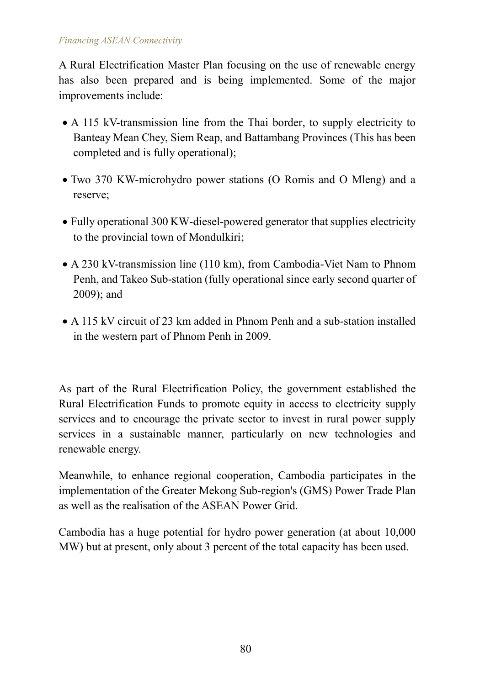A Rural Electrification Master Plan focusing on the use of renewable energy has also been prepared and is being implemented. Some of the major improvements include:

- A 115 kV-transmission line from the Thai border, to supply electricity to Banteay Mean Chey, Siem Reap, and Battambang Provinces (This has been completed and is fully operational);
- Two 370 KW-microhydro power stations (O Romis and O Mleng) and a reserve;
- Fully operational 300 KW-diesel-powered generator that supplies electricity to the provincial town of Mondulkiri;
- A 230 kV-transmission line (110 km), from Cambodia-Viet Nam to Phnom Penh, and Takeo Sub-station (fully operational since early second quarter of 2009); and
- A 115 kV circuit of 23 km added in Phnom Penh and a sub-station installed in the western part of Phnom Penh in 2009.

As part of the Rural Electrification Policy, the government established the Rural Electrification Funds to promote equity in access to electricity supply services and to encourage the private sector to invest in rural power supply services in a sustainable manner, particularly on new technologies and renewable energy.

Meanwhile, to enhance regional cooperation, Cambodia participates in the implementation of the Greater Mekong Sub-region's (GMS) Power Trade Plan as well as the realisation of the ASEAN Power Grid.

Cambodia has a huge potential for hydro power generation (at about 10,000 MW) but at present, only about 3 percent of the total capacity has been used.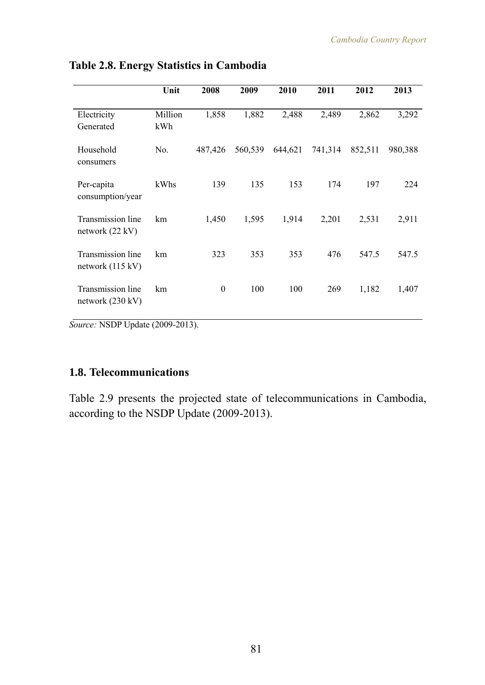|                                                 | Unit           | 2008     | 2009    | 2010    | 2011    | 2012    | 2013    |
|-------------------------------------------------|----------------|----------|---------|---------|---------|---------|---------|
| Electricity<br>Generated                        | Million<br>kWh | 1,858    | 1,882   | 2,488   | 2,489   | 2,862   | 3,292   |
| Household<br>consumers                          | No.            | 487,426  | 560,539 | 644,621 | 741,314 | 852,511 | 980,388 |
| Per-capita<br>consumption/year                  | kWhs           | 139      | 135     | 153     | 174     | 197     | 224     |
| Transmission line<br>network $(22 \text{ kV})$  | km             | 1,450    | 1,595   | 1,914   | 2,201   | 2,531   | 2,911   |
| Transmission line<br>network $(115 \text{ kV})$ | km             | 323      | 353     | 353     | 476     | 547.5   | 547.5   |
| Transmission line<br>network $(230 \text{ kV})$ | km             | $\theta$ | 100     | 100     | 269     | 1,182   | 1,407   |
| $1100011 + 4.6000000$                           |                |          |         |         |         |         |         |

#### **Table 2.8. Energy Statistics in Cambodia**

*Source:* NSDP Update (2009-2013).

# **1.8. Telecommunications**

Table 2.9 presents the projected state of telecommunications in Cambodia, according to the NSDP Update (2009-2013).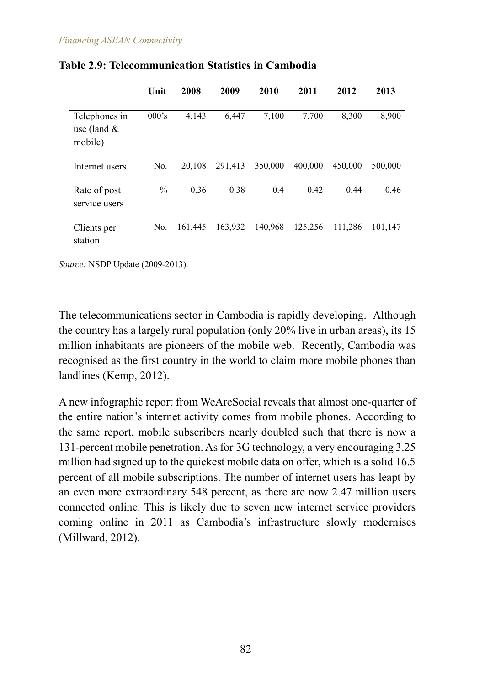|                                            | Unit          | 2008    | 2009    | 2010    | 2011    | 2012    | 2013    |
|--------------------------------------------|---------------|---------|---------|---------|---------|---------|---------|
| Telephones in<br>use (land $\&$<br>mobile) | $000$ 's      | 4,143   | 6,447   | 7,100   | 7,700   | 8,300   | 8,900   |
| Internet users                             | No.           | 20,108  | 291,413 | 350,000 | 400,000 | 450,000 | 500,000 |
| Rate of post<br>service users              | $\frac{0}{0}$ | 0.36    | 0.38    | 0.4     | 0.42    | 0.44    | 0.46    |
| Clients per<br>station                     | No.           | 161,445 | 163,932 | 140,968 | 125,256 | 111,286 | 101,147 |

#### **Table 2.9: Telecommunication Statistics in Cambodia**

*Source:* NSDP Update (2009-2013).

The telecommunications sector in Cambodia is rapidly developing. Although the country has a largely rural population (only 20% live in urban areas), its 15 million inhabitants are pioneers of the mobile web. Recently, Cambodia was recognised as the first country in the world to claim more mobile phones than landlines (Kemp, 2012).

A new infographic report from WeAreSocial reveals that almost one-quarter of the entire nation's internet activity comes from mobile phones. According to the same report, mobile subscribers nearly doubled such that there is now a 131-percent mobile penetration. As for [3G](http://www.techinasia.com/tag/3G/) technology, a very encouraging 3.25 million had signed up to the quickest mobile data on offer, which is a solid 16.5 percent of all mobile subscriptions. The number of internet users has leapt by an even more extraordinary 548 percent, as there are now 2.47 million users connected online. This is likely due to seven new internet service providers coming online in 2011 as Cambodia's infrastructure slowly modernises (Millward, 2012).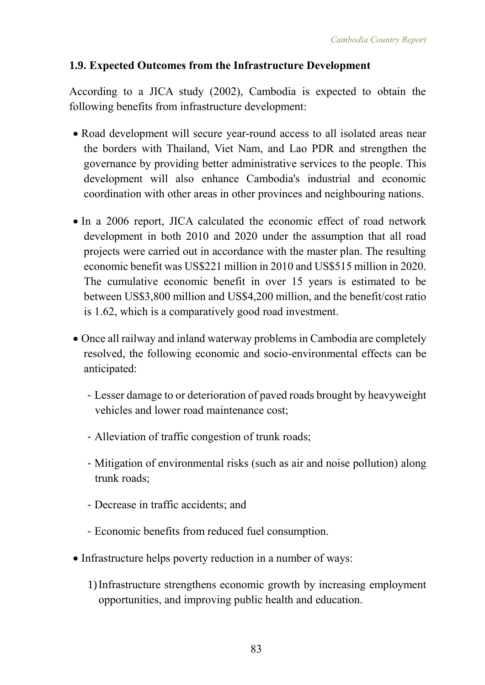## **1.9. Expected Outcomes from the Infrastructure Development**

According to a JICA study (2002), Cambodia is expected to obtain the following benefits from infrastructure development:

- Road development will secure year-round access to all isolated areas near the borders with Thailand, Viet Nam, and Lao PDR and strengthen the governance by providing better administrative services to the people. This development will also enhance Cambodia's industrial and economic coordination with other areas in other provinces and neighbouring nations.
- In a 2006 report, JICA calculated the economic effect of road network development in both 2010 and 2020 under the assumption that all road projects were carried out in accordance with the master plan. The resulting economic benefit was US\$221 million in 2010 and US\$515 million in 2020. The cumulative economic benefit in over 15 years is estimated to be between US\$3,800 million and US\$4,200 million, and the benefit/cost ratio is 1.62, which is a comparatively good road investment.
- Once all railway and inland waterway problems in Cambodia are completely resolved, the following economic and socio-environmental effects can be anticipated:
	- Lesser damage to or deterioration of paved roads brought by heavyweight vehicles and lower road maintenance cost;
	- Alleviation of traffic congestion of trunk roads;
	- Mitigation of environmental risks (such as air and noise pollution) along trunk roads;
	- Decrease in traffic accidents; and
	- Economic benefits from reduced fuel consumption.
- Infrastructure helps poverty reduction in a number of ways:
	- 1)Infrastructure strengthens economic growth by increasing employment opportunities, and improving public health and education.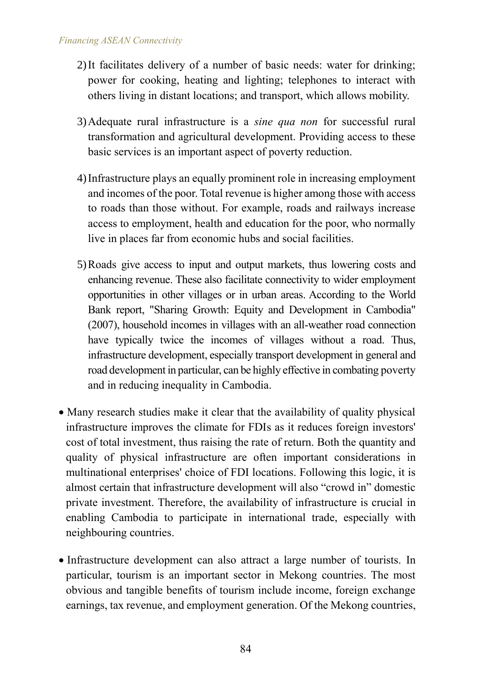- 2)It facilitates delivery of a number of basic needs: water for drinking; power for cooking, heating and lighting; telephones to interact with others living in distant locations; and transport, which allows mobility.
- 3)Adequate rural infrastructure is a *sine qua non* for successful rural transformation and agricultural development. Providing access to these basic services is an important aspect of poverty reduction.
- 4)Infrastructure plays an equally prominent role in increasing employment and incomes of the poor. Total revenue is higher among those with access to roads than those without. For example, roads and railways increase access to employment, health and education for the poor, who normally live in places far from economic hubs and social facilities.
- 5)Roads give access to input and output markets, thus lowering costs and enhancing revenue. These also facilitate connectivity to wider employment opportunities in other villages or in urban areas. According to the World Bank report, "Sharing Growth: Equity and Development in Cambodia" (2007), household incomes in villages with an all-weather road connection have typically twice the incomes of villages without a road. Thus, infrastructure development, especially transport development in general and road development in particular, can be highly effective in combating poverty and in reducing inequality in Cambodia.
- Many research studies make it clear that the availability of quality physical infrastructure improves the climate for FDIs as it reduces foreign investors' cost of total investment, thus raising the rate of return. Both the quantity and quality of physical infrastructure are often important considerations in multinational enterprises' choice of FDI locations. Following this logic, it is almost certain that infrastructure development will also "crowd in" domestic private investment. Therefore, the availability of infrastructure is crucial in enabling Cambodia to participate in international trade, especially with neighbouring countries.
- Infrastructure development can also attract a large number of tourists. In particular, tourism is an important sector in Mekong countries. The most obvious and tangible benefits of tourism include income, foreign exchange earnings, tax revenue, and employment generation. Of the Mekong countries,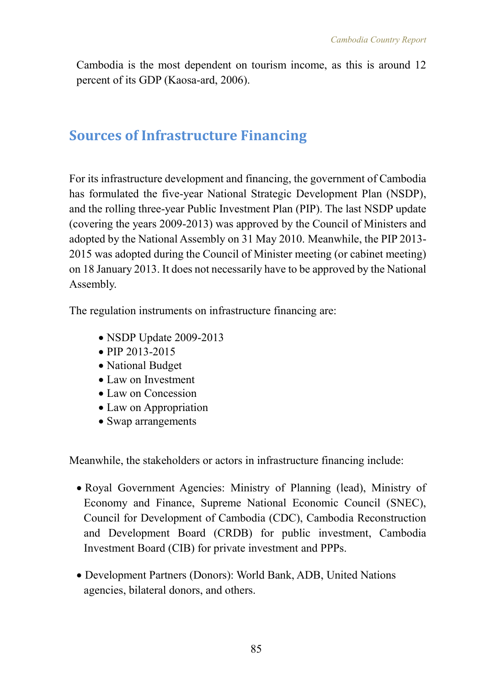Cambodia is the most dependent on tourism income, as this is around 12 percent of its GDP (Kaosa-ard, 2006).

# **Sources of Infrastructure Financing**

For its infrastructure development and financing, the government of Cambodia has formulated the five-year National Strategic Development Plan (NSDP), and the rolling three-year Public Investment Plan (PIP). The last NSDP update (covering the years 2009-2013) was approved by the Council of Ministers and adopted by the National Assembly on 31 May 2010. Meanwhile, the PIP 2013- 2015 was adopted during the Council of Minister meeting (or cabinet meeting) on 18 January 2013. It does not necessarily have to be approved by the National Assembly.

The regulation instruments on infrastructure financing are:

- NSDP Update 2009-2013
- PIP 2013-2015
- National Budget
- Law on Investment
- Law on Concession
- Law on Appropriation
- Swap arrangements

Meanwhile, the stakeholders or actors in infrastructure financing include:

- Royal Government Agencies: Ministry of Planning (lead), Ministry of Economy and Finance, Supreme National Economic Council (SNEC), Council for Development of Cambodia (CDC), Cambodia Reconstruction and Development Board (CRDB) for public investment, Cambodia Investment Board (CIB) for private investment and PPPs.
- Development Partners (Donors): World Bank, ADB, United Nations agencies, bilateral donors, and others.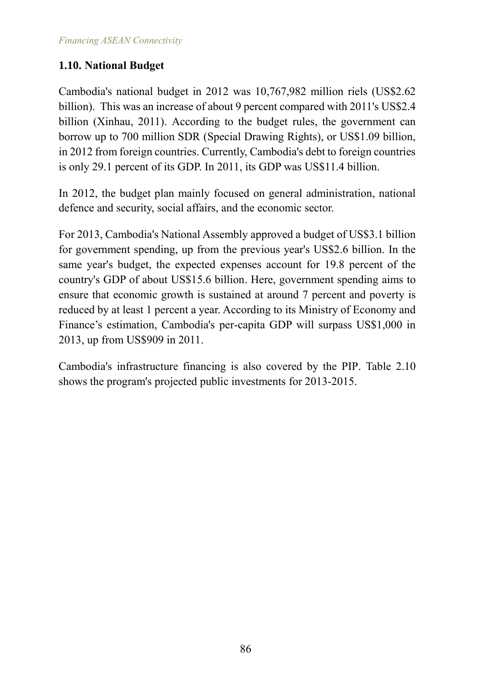### **1.10. National Budget**

Cambodia's national budget in 2012 was 10,767,982 million riels (US\$2.62 billion). This was an increase of about 9 percent compared with 2011's US\$2.4 billion (Xinhau, 2011). According to the budget rules, the government can borrow up to 700 million SDR (Special Drawing Rights), or US\$1.09 billion, in 2012 from foreign countries. Currently, Cambodia's debt to foreign countries is only 29.1 percent of its GDP. In 2011, its GDP was US\$11.4 billion.

In 2012, the budget plan mainly focused on general administration, national defence and security, social affairs, and the economic sector.

For 2013, Cambodia's National Assembly approved a budget of US\$3.1 billion for government spending, up from the previous year's US\$2.6 billion. In the same year's budget, the expected expenses account for 19.8 percent of the country's GDP of about US\$15.6 billion. Here, government spending aims to ensure that economic growth is sustained at around 7 percent and poverty is reduced by at least 1 percent a year. According to its Ministry of Economy and Finance's estimation, Cambodia's per-capita GDP will surpass US\$1,000 in 2013, up from US\$909 in 2011.

Cambodia's infrastructure financing is also covered by the PIP. Table 2.10 shows the program's projected public investments for 2013-2015.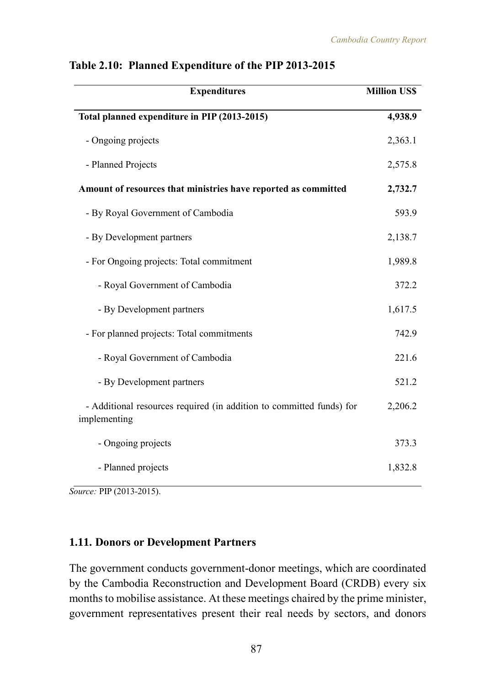| <b>Expenditures</b>                                                                  | <b>Million US\$</b> |
|--------------------------------------------------------------------------------------|---------------------|
| Total planned expenditure in PIP (2013-2015)                                         | 4,938.9             |
| - Ongoing projects                                                                   | 2,363.1             |
| - Planned Projects                                                                   | 2,575.8             |
| Amount of resources that ministries have reported as committed                       | 2,732.7             |
| - By Royal Government of Cambodia                                                    | 593.9               |
| - By Development partners                                                            | 2,138.7             |
| - For Ongoing projects: Total commitment                                             | 1,989.8             |
| - Royal Government of Cambodia                                                       | 372.2               |
| - By Development partners                                                            | 1,617.5             |
| - For planned projects: Total commitments                                            | 742.9               |
| - Royal Government of Cambodia                                                       | 221.6               |
| - By Development partners                                                            | 521.2               |
| - Additional resources required (in addition to committed funds) for<br>implementing | 2,206.2             |
| - Ongoing projects                                                                   | 373.3               |
| - Planned projects                                                                   | 1,832.8             |

#### **Table 2.10: Planned Expenditure of the PIP 2013-2015**

*Source:* PIP (2013-2015).

#### **1.11. Donors or Development Partners**

The government conducts government-donor meetings, which are coordinated by the Cambodia Reconstruction and Development Board (CRDB) every six months to mobilise assistance. At these meetings chaired by the prime minister, government representatives present their real needs by sectors, and donors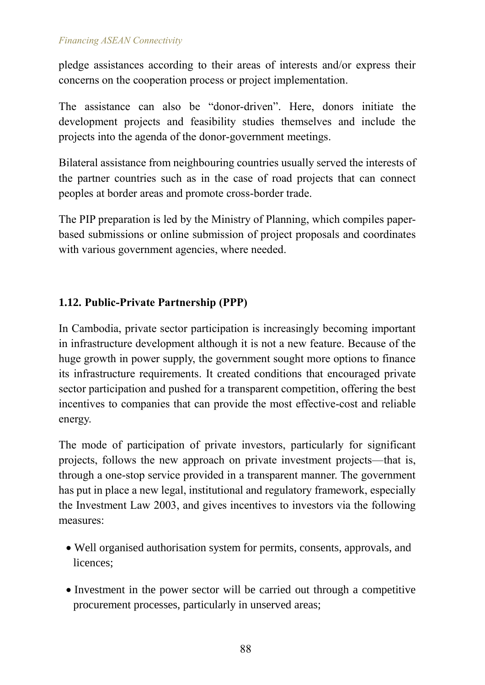pledge assistances according to their areas of interests and/or express their concerns on the cooperation process or project implementation.

The assistance can also be "donor-driven". Here, donors initiate the development projects and feasibility studies themselves and include the projects into the agenda of the donor-government meetings.

Bilateral assistance from neighbouring countries usually served the interests of the partner countries such as in the case of road projects that can connect peoples at border areas and promote cross-border trade.

The PIP preparation is led by the Ministry of Planning, which compiles paperbased submissions or online submission of project proposals and coordinates with various government agencies, where needed.

## **1.12. Public-Private Partnership (PPP)**

In Cambodia, private sector participation is increasingly becoming important in infrastructure development although it is not a new feature. Because of the huge growth in power supply, the government sought more options to finance its infrastructure requirements. It created conditions that encouraged private sector participation and pushed for a transparent competition, offering the best incentives to companies that can provide the most effective-cost and reliable energy.

The mode of participation of private investors, particularly for significant projects, follows the new approach on private investment projects—that is, through a one-stop service provided in a transparent manner. The government has put in place a new legal, institutional and regulatory framework, especially the Investment Law 2003, and gives incentives to investors via the following measures:

- Well organised authorisation system for permits, consents, approvals, and licences;
- Investment in the power sector will be carried out through a competitive procurement processes, particularly in unserved areas;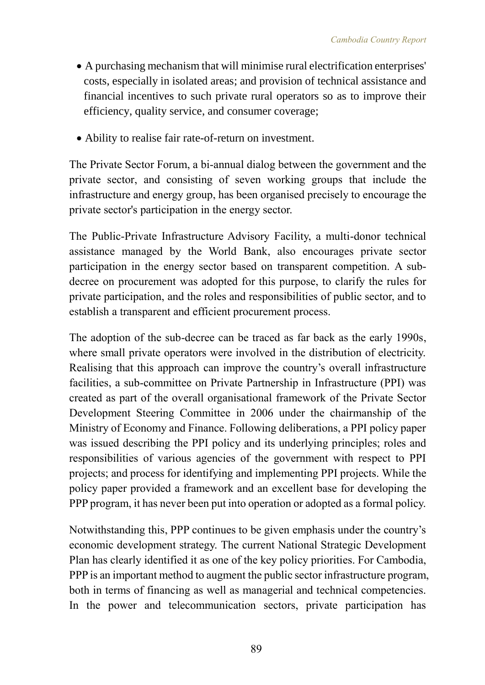- A purchasing mechanism that will minimise rural electrification enterprises' costs, especially in isolated areas; and provision of technical assistance and financial incentives to such private rural operators so as to improve their efficiency, quality service, and consumer coverage;
- Ability to realise fair rate-of-return on investment.

The Private Sector Forum, a bi-annual dialog between the government and the private sector, and consisting of seven working groups that include the infrastructure and energy group, has been organised precisely to encourage the private sector's participation in the energy sector.

The Public-Private Infrastructure Advisory Facility, a multi-donor technical assistance managed by the World Bank, also encourages private sector participation in the energy sector based on transparent competition. A subdecree on procurement was adopted for this purpose, to clarify the rules for private participation, and the roles and responsibilities of public sector, and to establish a transparent and efficient procurement process.

The adoption of the sub-decree can be traced as far back as the early 1990s, where small private operators were involved in the distribution of electricity. Realising that this approach can improve the country's overall infrastructure facilities, a sub-committee on Private Partnership in Infrastructure (PPI) was created as part of the overall organisational framework of the Private Sector Development Steering Committee in 2006 under the chairmanship of the Ministry of Economy and Finance. Following deliberations, a PPI policy paper was issued describing the PPI policy and its underlying principles; roles and responsibilities of various agencies of the government with respect to PPI projects; and process for identifying and implementing PPI projects. While the policy paper provided a framework and an excellent base for developing the PPP program, it has never been put into operation or adopted as a formal policy.

Notwithstanding this, PPP continues to be given emphasis under the country's economic development strategy. The current National Strategic Development Plan has clearly identified it as one of the key policy priorities. For Cambodia, PPP is an important method to augment the public sector infrastructure program, both in terms of financing as well as managerial and technical competencies. In the power and telecommunication sectors, private participation has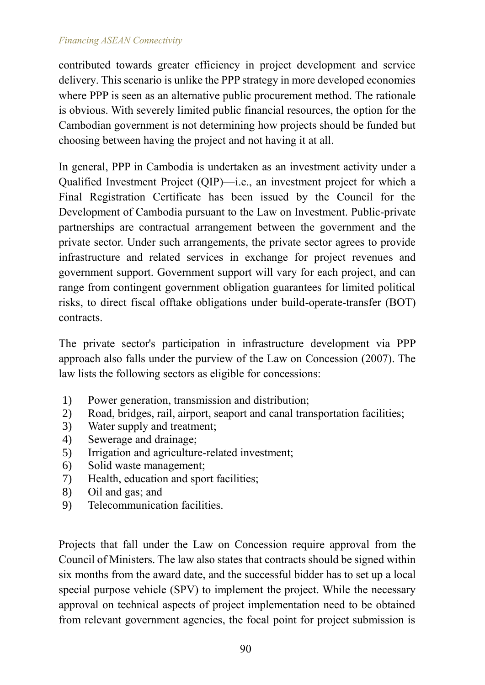contributed towards greater efficiency in project development and service delivery. This scenario is unlike the PPP strategy in more developed economies where PPP is seen as an alternative public procurement method. The rationale is obvious. With severely limited public financial resources, the option for the Cambodian government is not determining how projects should be funded but choosing between having the project and not having it at all.

In general, PPP in Cambodia is undertaken as an investment activity under a Qualified Investment Project (QIP)—i.e., an investment project for which a Final Registration Certificate has been issued by the Council for the Development of Cambodia pursuant to the Law on Investment. Public-private partnerships are contractual arrangement between the government and the private sector. Under such arrangements, the private sector agrees to provide infrastructure and related services in exchange for project revenues and government support. Government support will vary for each project, and can range from contingent government obligation guarantees for limited political risks, to direct fiscal offtake obligations under build-operate-transfer (BOT) contracts.

The private sector's participation in infrastructure development via PPP approach also falls under the purview of the Law on Concession (2007). The law lists the following sectors as eligible for concessions:

- 1) Power generation, transmission and distribution;
- 2) Road, bridges, rail, airport, seaport and canal transportation facilities;
- 3) Water supply and treatment;
- 4) Sewerage and drainage;
- 5) Irrigation and agriculture-related investment;
- 6) Solid waste management;
- 7) Health, education and sport facilities;
- 8) Oil and gas; and
- 9) Telecommunication facilities.

Projects that fall under the Law on Concession require approval from the Council of Ministers. The law also states that contracts should be signed within six months from the award date, and the successful bidder has to set up a local special purpose vehicle (SPV) to implement the project. While the necessary approval on technical aspects of project implementation need to be obtained from relevant government agencies, the focal point for project submission is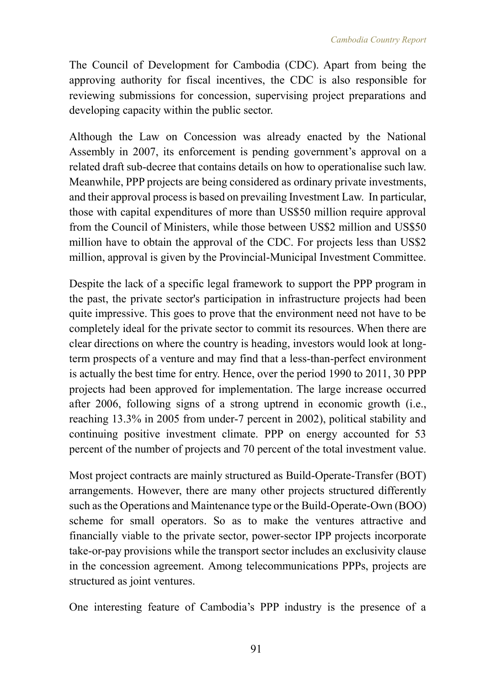The Council of Development for Cambodia (CDC). Apart from being the approving authority for fiscal incentives, the CDC is also responsible for reviewing submissions for concession, supervising project preparations and developing capacity within the public sector.

Although the Law on Concession was already enacted by the National Assembly in 2007, its enforcement is pending government's approval on a related draft sub-decree that contains details on how to operationalise such law. Meanwhile, PPP projects are being considered as ordinary private investments, and their approval process is based on prevailing Investment Law. In particular, those with capital expenditures of more than US\$50 million require approval from the Council of Ministers, while those between US\$2 million and US\$50 million have to obtain the approval of the CDC. For projects less than US\$2 million, approval is given by the Provincial-Municipal Investment Committee.

Despite the lack of a specific legal framework to support the PPP program in the past, the private sector's participation in infrastructure projects had been quite impressive. This goes to prove that the environment need not have to be completely ideal for the private sector to commit its resources. When there are clear directions on where the country is heading, investors would look at longterm prospects of a venture and may find that a less-than-perfect environment is actually the best time for entry. Hence, over the period 1990 to 2011, 30 PPP projects had been approved for implementation. The large increase occurred after 2006, following signs of a strong uptrend in economic growth (i.e., reaching 13.3% in 2005 from under-7 percent in 2002), political stability and continuing positive investment climate. PPP on energy accounted for 53 percent of the number of projects and 70 percent of the total investment value.

Most project contracts are mainly structured as Build-Operate-Transfer (BOT) arrangements. However, there are many other projects structured differently such as the Operations and Maintenance type or the Build-Operate-Own (BOO) scheme for small operators. So as to make the ventures attractive and financially viable to the private sector, power-sector IPP projects incorporate take-or-pay provisions while the transport sector includes an exclusivity clause in the concession agreement. Among telecommunications PPPs, projects are structured as joint ventures.

One interesting feature of Cambodia's PPP industry is the presence of a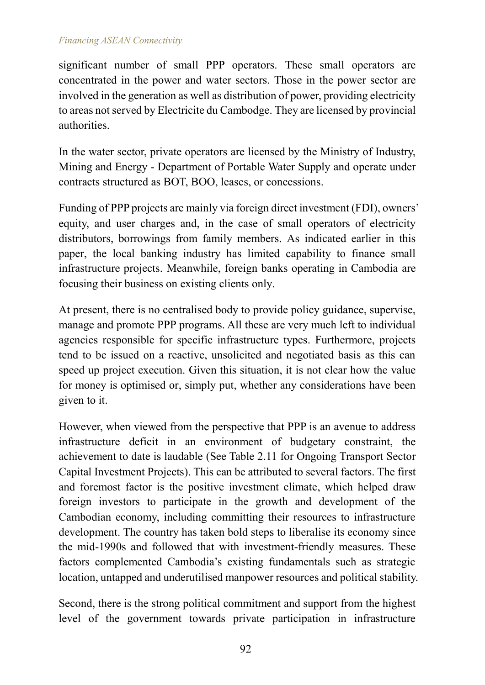significant number of small PPP operators. These small operators are concentrated in the power and water sectors. Those in the power sector are involved in the generation as well as distribution of power, providing electricity to areas not served by Electricite du Cambodge. They are licensed by provincial authorities.

In the water sector, private operators are licensed by the Ministry of Industry, Mining and Energy - Department of Portable Water Supply and operate under contracts structured as BOT, BOO, leases, or concessions.

Funding of PPP projects are mainly via foreign direct investment (FDI), owners' equity, and user charges and, in the case of small operators of electricity distributors, borrowings from family members. As indicated earlier in this paper, the local banking industry has limited capability to finance small infrastructure projects. Meanwhile, foreign banks operating in Cambodia are focusing their business on existing clients only.

At present, there is no centralised body to provide policy guidance, supervise, manage and promote PPP programs. All these are very much left to individual agencies responsible for specific infrastructure types. Furthermore, projects tend to be issued on a reactive, unsolicited and negotiated basis as this can speed up project execution. Given this situation, it is not clear how the value for money is optimised or, simply put, whether any considerations have been given to it.

However, when viewed from the perspective that PPP is an avenue to address infrastructure deficit in an environment of budgetary constraint, the achievement to date is laudable (See Table 2.11 for Ongoing Transport Sector Capital Investment Projects). This can be attributed to several factors. The first and foremost factor is the positive investment climate, which helped draw foreign investors to participate in the growth and development of the Cambodian economy, including committing their resources to infrastructure development. The country has taken bold steps to liberalise its economy since the mid-1990s and followed that with investment-friendly measures. These factors complemented Cambodia's existing fundamentals such as strategic location, untapped and underutilised manpower resources and political stability.

Second, there is the strong political commitment and support from the highest level of the government towards private participation in infrastructure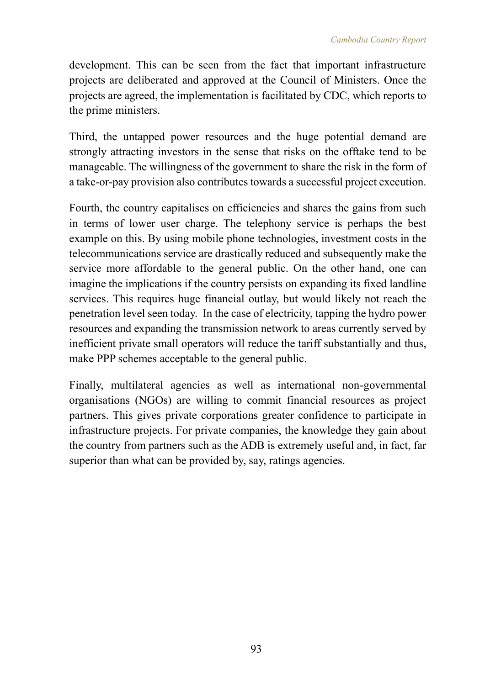development. This can be seen from the fact that important infrastructure projects are deliberated and approved at the Council of Ministers. Once the projects are agreed, the implementation is facilitated by CDC, which reports to the prime ministers.

Third, the untapped power resources and the huge potential demand are strongly attracting investors in the sense that risks on the offtake tend to be manageable. The willingness of the government to share the risk in the form of a take-or-pay provision also contributes towards a successful project execution.

Fourth, the country capitalises on efficiencies and shares the gains from such in terms of lower user charge. The telephony service is perhaps the best example on this. By using mobile phone technologies, investment costs in the telecommunications service are drastically reduced and subsequently make the service more affordable to the general public. On the other hand, one can imagine the implications if the country persists on expanding its fixed landline services. This requires huge financial outlay, but would likely not reach the penetration level seen today. In the case of electricity, tapping the hydro power resources and expanding the transmission network to areas currently served by inefficient private small operators will reduce the tariff substantially and thus, make PPP schemes acceptable to the general public.

Finally, multilateral agencies as well as international non-governmental organisations (NGOs) are willing to commit financial resources as project partners. This gives private corporations greater confidence to participate in infrastructure projects. For private companies, the knowledge they gain about the country from partners such as the ADB is extremely useful and, in fact, far superior than what can be provided by, say, ratings agencies.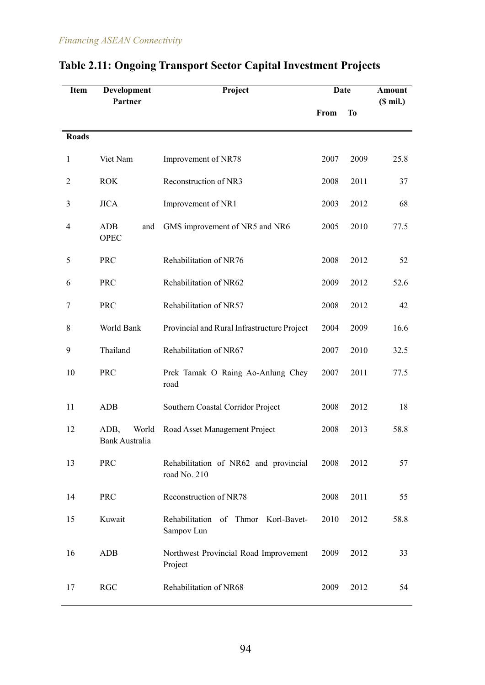| <b>Item</b>    | Development<br>Partner                 | Project                                               |      | <b>Date</b> | Amount<br>$(S \text{ mil.})$ |
|----------------|----------------------------------------|-------------------------------------------------------|------|-------------|------------------------------|
|                |                                        |                                                       | From | <b>To</b>   |                              |
| <b>Roads</b>   |                                        |                                                       |      |             |                              |
| 1              | Viet Nam                               | Improvement of NR78                                   | 2007 | 2009        | 25.8                         |
| $\overline{2}$ | <b>ROK</b>                             | Reconstruction of NR3                                 | 2008 | 2011        | 37                           |
| 3              | <b>JICA</b>                            | Improvement of NR1                                    | 2003 | 2012        | 68                           |
| 4              | <b>ADB</b><br>and<br><b>OPEC</b>       | GMS improvement of NR5 and NR6                        | 2005 | 2010        | 77.5                         |
| 5              | <b>PRC</b>                             | Rehabilitation of NR76                                | 2008 | 2012        | 52                           |
| 6              | <b>PRC</b>                             | Rehabilitation of NR62                                | 2009 | 2012        | 52.6                         |
| 7              | PRC                                    | Rehabilitation of NR57                                |      | 2012        | 42                           |
| 8              | World Bank                             | Provincial and Rural Infrastructure Project           | 2004 | 2009        | 16.6                         |
| 9              | Thailand                               | Rehabilitation of NR67                                | 2007 | 2010        | 32.5                         |
| 10             | <b>PRC</b>                             | Prek Tamak O Raing Ao-Anlung Chey<br>road             | 2007 | 2011        | 77.5                         |
| 11             | <b>ADB</b>                             | Southern Coastal Corridor Project                     | 2008 | 2012        | 18                           |
| 12             | ADB,<br>World<br><b>Bank Australia</b> | Road Asset Management Project                         | 2008 | 2013        | 58.8                         |
| 13             | <b>PRC</b>                             | Rehabilitation of NR62 and provincial<br>road No. 210 | 2008 | 2012        | 57                           |
| 14             | <b>PRC</b>                             | Reconstruction of NR78                                | 2008 | 2011        | 55                           |
| 15             | Kuwait                                 | Rehabilitation of Thmor Korl-Bavet-<br>Sampov Lun     | 2010 | 2012        | 58.8                         |
| 16             | <b>ADB</b>                             | Northwest Provincial Road Improvement<br>Project      | 2009 | 2012        | 33                           |
| 17             | <b>RGC</b>                             | Rehabilitation of NR68                                | 2009 | 2012        | 54                           |

# **Table 2.11: Ongoing Transport Sector Capital Investment Projects**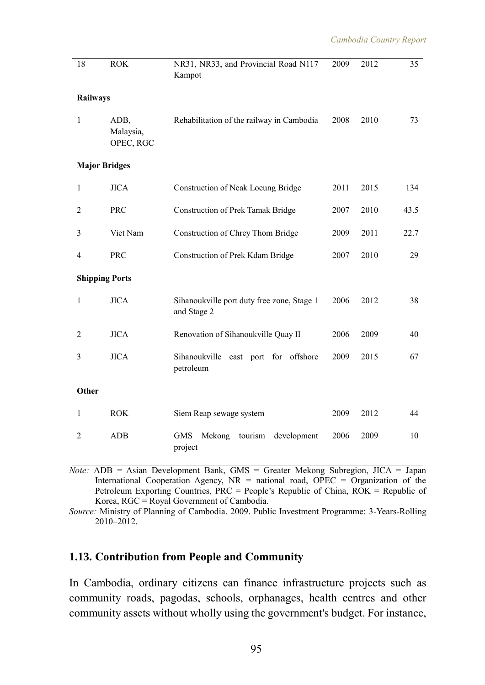| 18                    | <b>ROK</b>                     | NR31, NR33, and Provincial Road N117<br>Kampot            | 2009 | 2012 | 35   |
|-----------------------|--------------------------------|-----------------------------------------------------------|------|------|------|
| <b>Railways</b>       |                                |                                                           |      |      |      |
| $\mathbf{1}$          | ADB,<br>Malaysia,<br>OPEC, RGC | Rehabilitation of the railway in Cambodia                 | 2008 | 2010 | 73   |
| <b>Major Bridges</b>  |                                |                                                           |      |      |      |
| $\mathbf{1}$          | <b>JICA</b>                    | Construction of Neak Loeung Bridge                        | 2011 | 2015 | 134  |
| $\overline{2}$        | <b>PRC</b>                     | <b>Construction of Prek Tamak Bridge</b>                  | 2007 | 2010 | 43.5 |
| 3                     | Viet Nam                       | Construction of Chrey Thom Bridge                         | 2009 | 2011 | 22.7 |
| $\overline{4}$        | <b>PRC</b>                     | Construction of Prek Kdam Bridge                          | 2007 | 2010 | 29   |
| <b>Shipping Ports</b> |                                |                                                           |      |      |      |
| 1                     | <b>JICA</b>                    | Sihanoukville port duty free zone, Stage 1<br>and Stage 2 | 2006 | 2012 | 38   |
| $\overline{2}$        | <b>JICA</b>                    | Renovation of Sihanoukville Quay II                       | 2006 | 2009 | 40   |
| 3                     | <b>JICA</b>                    | Sihanoukville<br>east port for offshore<br>petroleum      | 2009 | 2015 | 67   |
| Other                 |                                |                                                           |      |      |      |
| $\mathbf{1}$          | <b>ROK</b>                     | Siem Reap sewage system                                   | 2009 | 2012 | 44   |
| $\overline{c}$        | <b>ADB</b>                     | <b>GMS</b><br>tourism<br>development<br>Mekong<br>project | 2006 | 2009 | 10   |

*Note:* ADB = Asian Development Bank, GMS = Greater Mekong Subregion, JICA = Japan International Cooperation Agency,  $NR =$  national road, OPEC = Organization of the Petroleum Exporting Countries, PRC = People's Republic of China, ROK = Republic of Korea, RGC = Royal Government of Cambodia.

*Source:* Ministry of Planning of Cambodia. 2009. Public Investment Programme: 3-Years-Rolling 2010–2012.

#### **1.13. Contribution from People and Community**

In Cambodia, ordinary citizens can finance infrastructure projects such as community roads, pagodas, schools, orphanages, health centres and other community assets without wholly using the government's budget. For instance,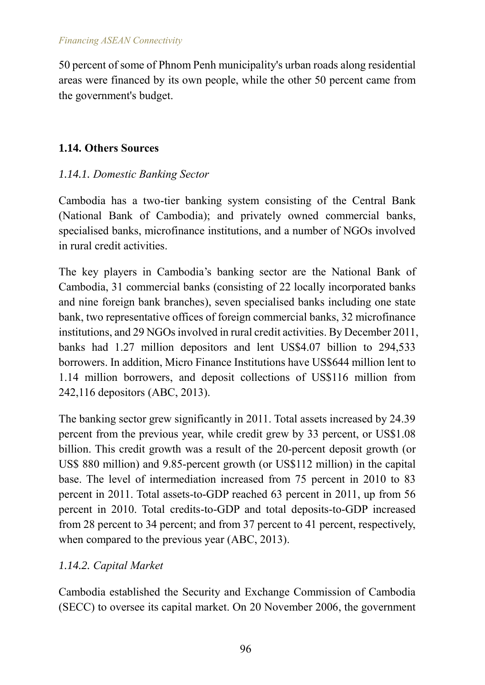50 percent of some of Phnom Penh municipality's urban roads along residential areas were financed by its own people, while the other 50 percent came from the government's budget.

## **1.14. Others Sources**

## *1.14.1. Domestic Banking Sector*

Cambodia has a two-tier banking system consisting of the Central Bank (National Bank of Cambodia); and privately owned commercial banks, specialised banks, microfinance institutions, and a number of NGOs involved in rural credit activities.

The key players in Cambodia's banking sector are the National Bank of Cambodia, 31 commercial banks (consisting of 22 locally incorporated banks and nine foreign bank branches), seven specialised banks including one state bank, two representative offices of foreign commercial banks, 32 microfinance institutions, and 29 NGOs involved in rural credit activities. By December 2011, banks had 1.27 million depositors and lent US\$4.07 billion to 294,533 borrowers. In addition, Micro Finance Institutions have US\$644 million lent to 1.14 million borrowers, and deposit collections of US\$116 million from 242,116 depositors (ABC, 2013).

The banking sector grew significantly in 2011. Total assets increased by 24.39 percent from the previous year, while credit grew by 33 percent, or US\$1.08 billion. This credit growth was a result of the 20-percent deposit growth (or US\$ 880 million) and 9.85-percent growth (or US\$112 million) in the capital base. The level of intermediation increased from 75 percent in 2010 to 83 percent in 2011. Total assets-to-GDP reached 63 percent in 2011, up from 56 percent in 2010. Total credits-to-GDP and total deposits-to-GDP increased from 28 percent to 34 percent; and from 37 percent to 41 percent, respectively, when compared to the previous year (ABC, 2013).

# *1.14.2. Capital Market*

Cambodia established the Security and Exchange Commission of Cambodia (SECC) to oversee its capital market. On 20 November 2006, the government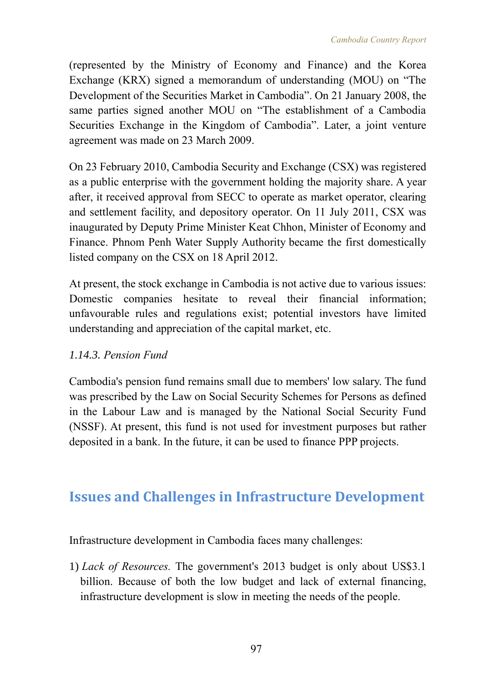(represented by the Ministry of Economy and Finance) and the Korea Exchange (KRX) signed a memorandum of understanding (MOU) on "The Development of the Securities Market in Cambodia". On 21 January 2008, the same parties signed another MOU on "The establishment of a Cambodia Securities Exchange in the Kingdom of Cambodia". Later, a joint venture agreement was made on 23 March 2009.

On 23 February 2010, Cambodia Security and Exchange (CSX) was registered as a public enterprise with the government holding the majority share. A year after, it received approval from SECC to operate as market operator, clearing and settlement facility, and depository operator. On 11 July 2011, CSX was inaugurated by Deputy Prime Minister Keat Chhon, Minister of Economy and Finance. [Phnom Penh Water Supply Authority](http://en.wikipedia.org/wiki/Phnom_Penh_Water_Supply_Authority) became the first domestically listed company on the CSX on 18 April 2012.

At present, the stock exchange in Cambodia is not active due to various issues: Domestic companies hesitate to reveal their financial information; unfavourable rules and regulations exist; potential investors have limited understanding and appreciation of the capital market, etc.

# *1.14.3. Pension Fund*

Cambodia's pension fund remains small due to members' low salary. The fund was prescribed by the Law on Social Security Schemes for Persons as defined in the Labour Law and is managed by the National Social Security Fund (NSSF). At present, this fund is not used for investment purposes but rather deposited in a bank. In the future, it can be used to finance PPP projects.

# **Issues and Challenges in Infrastructure Development**

Infrastructure development in Cambodia faces many challenges:

1) *Lack of Resources.* The government's 2013 budget is only about US\$3.1 billion. Because of both the low budget and lack of external financing, infrastructure development is slow in meeting the needs of the people.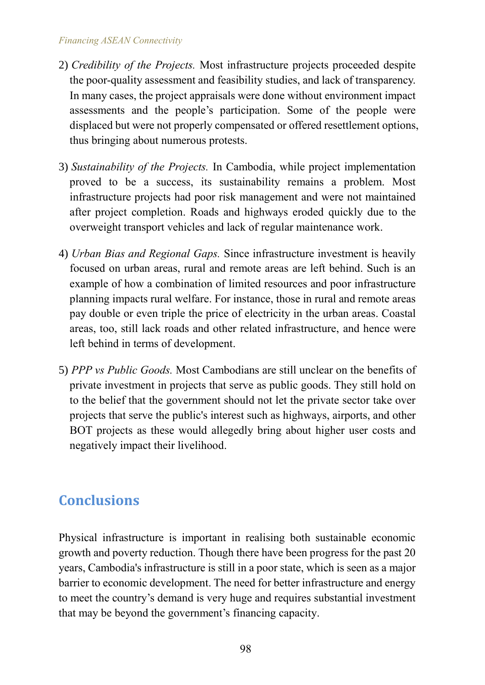- 2) *Credibility of the Projects.* Most infrastructure projects proceeded despite the poor-quality assessment and feasibility studies, and lack of transparency. In many cases, the project appraisals were done without environment impact assessments and the people's participation. Some of the people were displaced but were not properly compensated or offered resettlement options, thus bringing about numerous protests.
- 3) *Sustainability of the Projects.* In Cambodia, while project implementation proved to be a success, its sustainability remains a problem. Most infrastructure projects had poor risk management and were not maintained after project completion. Roads and highways eroded quickly due to the overweight transport vehicles and lack of regular maintenance work.
- 4) *Urban Bias and Regional Gaps.* Since infrastructure investment is heavily focused on urban areas, rural and remote areas are left behind. Such is an example of how a combination of limited resources and poor infrastructure planning impacts rural welfare. For instance, those in rural and remote areas pay double or even triple the price of electricity in the urban areas. Coastal areas, too, still lack roads and other related infrastructure, and hence were left behind in terms of development.
- 5) *PPP vs Public Goods.* Most Cambodians are still unclear on the benefits of private investment in projects that serve as public goods. They still hold on to the belief that the government should not let the private sector take over projects that serve the public's interest such as highways, airports, and other BOT projects as these would allegedly bring about higher user costs and negatively impact their livelihood.

# **Conclusions**

Physical infrastructure is important in realising both sustainable economic growth and poverty reduction. Though there have been progress for the past 20 years, Cambodia's infrastructure is still in a poor state, which is seen as a major barrier to economic development. The need for better infrastructure and energy to meet the country's demand is very huge and requires substantial investment that may be beyond the government's financing capacity.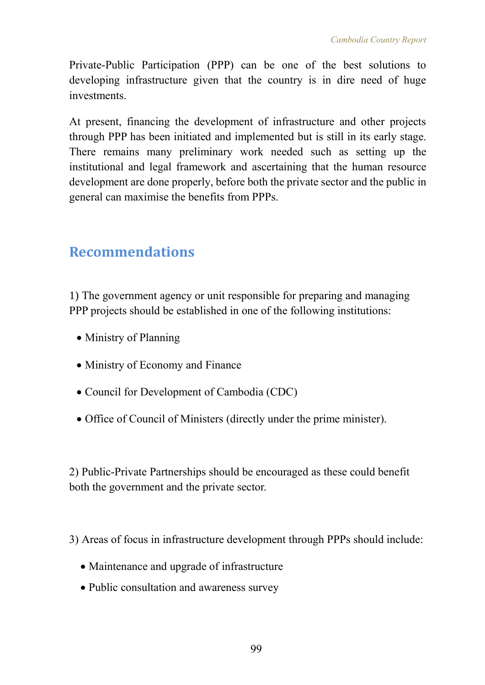Private-Public Participation (PPP) can be one of the best solutions to developing infrastructure given that the country is in dire need of huge investments.

At present, financing the development of infrastructure and other projects through PPP has been initiated and implemented but is still in its early stage. There remains many preliminary work needed such as setting up the institutional and legal framework and ascertaining that the human resource development are done properly, before both the private sector and the public in general can maximise the benefits from PPPs.

# **Recommendations**

1) The government agency or unit responsible for preparing and managing PPP projects should be established in one of the following institutions:

- Ministry of Planning
- Ministry of Economy and Finance
- Council for Development of Cambodia (CDC)
- Office of Council of Ministers (directly under the prime minister).

2) Public-Private Partnerships should be encouraged as these could benefit both the government and the private sector.

3) Areas of focus in infrastructure development through PPPs should include:

- Maintenance and upgrade of infrastructure
- Public consultation and awareness survey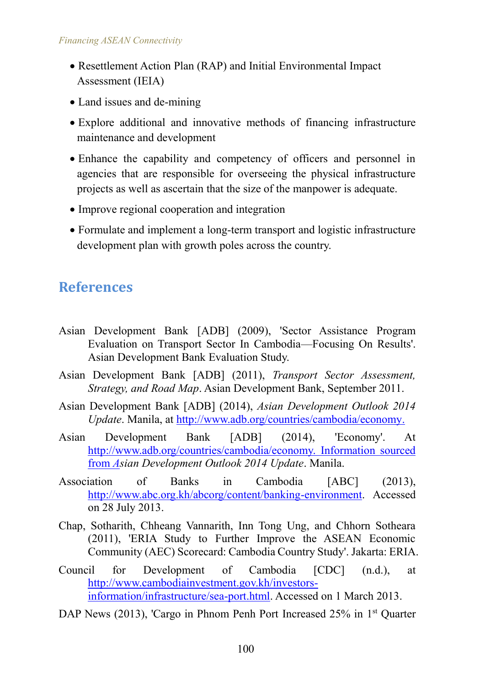- Resettlement Action Plan (RAP) and Initial Environmental Impact Assessment (IEIA)
- Land issues and de-mining
- Explore additional and innovative methods of financing infrastructure maintenance and development
- Enhance the capability and competency of officers and personnel in agencies that are responsible for overseeing the physical infrastructure projects as well as ascertain that the size of the manpower is adequate.
- Improve regional cooperation and integration
- Formulate and implement a long-term transport and logistic infrastructure development plan with growth poles across the country.

# **References**

- Asian Development Bank [ADB] (2009), 'Sector Assistance Program Evaluation on Transport Sector In Cambodia—Focusing On Results'. Asian Development Bank Evaluation Study.
- Asian Development Bank [ADB] (2011), *Transport Sector Assessment, Strategy, and Road Map*. Asian Development Bank, September 2011.
- Asian Development Bank [ADB] (2014), *Asian Development Outlook 2014 Update*. Manila, at [http://www.adb.org/countries/cambodia/economy.](http://www.adb.org/countries/cambodia/economy)
- Asian Development Bank [ADB] (2014), 'Economy'. At [http://www.adb.org/countries/cambodia/economy.](http://www.adb.org/countries/cambodia/economy) Information sourced from *Asian Development Outlook 2014 Update*. Manila.
- Association of Banks in Cambodia [ABC] (2013), [http://www.abc.org.kh/abcorg/content/banking-environment.](http://www.abc.org.kh/abcorg/content/banking-environment) Accessed on 28 July 2013.
- Chap, Sotharith, Chheang Vannarith, Inn Tong Ung, and Chhorn Sotheara (2011), 'ERIA Study to Further Improve the ASEAN Economic Community (AEC) Scorecard: Cambodia Country Study'. Jakarta: ERIA.
- Council for Development of Cambodia [CDC] (n.d.), at [http://www.cambodiainvestment.gov.kh/investors](http://www.cambodiainvestment.gov.kh/investors-information/infrastructure/sea-port.html)[information/infrastructure/sea-port.html.](http://www.cambodiainvestment.gov.kh/investors-information/infrastructure/sea-port.html) Accessed on 1 March 2013.
- DAP News (2013), 'Cargo in Phnom Penh Port Increased 25% in 1<sup>st</sup> Quarter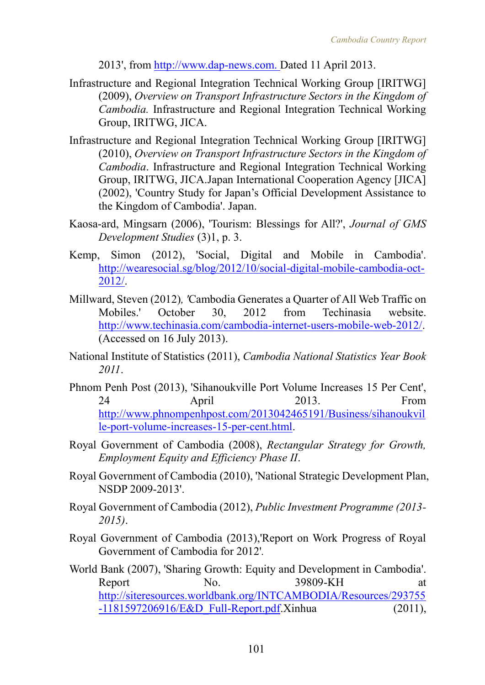2013', from [http://www.dap-news.com.](http://www.dap-news.com/) Dated 11 April 2013.

- Infrastructure and Regional Integration Technical Working Group [IRITWG] (2009), *Overview on Transport Infrastructure Sectors in the Kingdom of Cambodia.* Infrastructure and Regional Integration Technical Working Group, IRITWG, JICA.
- Infrastructure and Regional Integration Technical Working Group [IRITWG] (2010), *Overview on Transport Infrastructure Sectors in the Kingdom of Cambodia*. Infrastructure and Regional Integration Technical Working Group, IRITWG, JICA.Japan International Cooperation Agency [JICA] (2002), 'Country Study for Japan's Official Development Assistance to the Kingdom of Cambodia'. Japan.
- Kaosa-ard, Mingsarn (2006), 'Tourism: Blessings for All?', *Journal of GMS Development Studies* (3)1, p. 3.
- Kemp, Simon (2012), 'Social, Digital and Mobile in Cambodia'. [http://wearesocial.sg/blog/2012/10/social-digital-mobile-cambodia-oct-](http://wearesocial.sg/blog/2012/10/social-digital-mobile-cambodia-oct-2012/)[2012/.](http://wearesocial.sg/blog/2012/10/social-digital-mobile-cambodia-oct-2012/)
- Millward, Steven (2012)*, '*Cambodia Generates a Quarter of All Web Traffic on Mobiles.' October 30, 2012 from Techinasia website. [http://www.techinasia.com/cambodia-internet-users-mobile-web-2012/.](http://www.techinasia.com/cambodia-internet-users-mobile-web-2012/) (Accessed on 16 July 2013).
- National Institute of Statistics (2011), *Cambodia National Statistics Year Book 2011*.
- Phnom Penh Post (2013), 'Sihanoukville Port Volume Increases 15 Per Cent', 24 April 2013. From [http://www.phnompenhpost.com/2013042465191/Business/sihanoukvil](http://www.phnompenhpost.com/2013042465191/Business/sihanoukville-port-volume-increases-15-per-cent.html) [le-port-volume-increases-15-per-cent.html.](http://www.phnompenhpost.com/2013042465191/Business/sihanoukville-port-volume-increases-15-per-cent.html)
- Royal Government of Cambodia (2008), *Rectangular Strategy for Growth, Employment Equity and Efficiency Phase II*.
- Royal Government of Cambodia (2010), 'National Strategic Development Plan, NSDP 2009-2013'.
- Royal Government of Cambodia (2012), *Public Investment Programme (2013- 2015)*.
- Royal Government of Cambodia (2013),'Report on Work Progress of Royal Government of Cambodia for 2012'*.*
- World Bank (2007), 'Sharing Growth: Equity and Development in Cambodia'. Report No. 39809-KH at [http://siteresources.worldbank.org/INTCAMBODIA/Resources/293755](http://siteresources.worldbank.org/INTCAMBODIA/Resources/293755-1181597206916/E&D_Full-Report.pdf) [-1181597206916/E&D\\_Full-Report.pdf.](http://siteresources.worldbank.org/INTCAMBODIA/Resources/293755-1181597206916/E&D_Full-Report.pdf)Xinhua (2011),